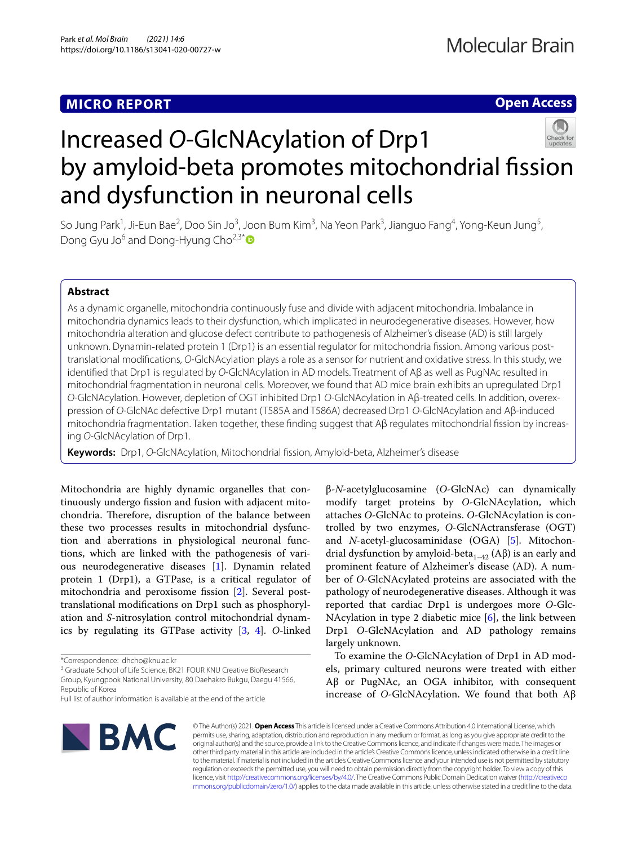# **MICRO REPORT**

# **Open Access**



# Increased *O*-GlcNAcylation of Drp1 by amyloid-beta promotes mitochondrial fission and dysfunction in neuronal cells

So Jung Park<sup>1</sup>, Ji-Eun Bae<sup>2</sup>, Doo Sin Jo<sup>3</sup>, Joon Bum Kim<sup>3</sup>, Na Yeon Park<sup>3</sup>, Jianguo Fang<sup>4</sup>, Yong-Keun Jung<sup>5</sup>, Dong Gyu Jo<sup>6</sup> and Dong-Hyung Cho<sup>2,3[\\*](http://orcid.org/0000-0002-8859-0310)</sup>

## **Abstract**

As a dynamic organelle, mitochondria continuously fuse and divide with adjacent mitochondria. Imbalance in mitochondria dynamics leads to their dysfunction, which implicated in neurodegenerative diseases. However, how mitochondria alteration and glucose defect contribute to pathogenesis of Alzheimer's disease (AD) is still largely unknown. Dynamin-related protein 1 (Drp1) is an essential regulator for mitochondria fission. Among various posttranslational modifcations, *O*-GlcNAcylation plays a role as a sensor for nutrient and oxidative stress. In this study, we identifed that Drp1 is regulated by *O*-GlcNAcylation in AD models. Treatment of Aβ as well as PugNAc resulted in mitochondrial fragmentation in neuronal cells. Moreover, we found that AD mice brain exhibits an upregulated Drp1 *O*-GlcNAcylation. However, depletion of OGT inhibited Drp1 *O*-GlcNAcylation in Aβ-treated cells. In addition, overex‑ pression of *O*-GlcNAc defective Drp1 mutant (T585A and T586A) decreased Drp1 *O*-GlcNAcylation and Aβ-induced mitochondria fragmentation. Taken together, these finding suggest that Aβ regulates mitochondrial fission by increasing *O*-GlcNAcylation of Drp1.

**Keywords:** Drp1, *O*-GlcNAcylation, Mitochondrial fssion, Amyloid-beta, Alzheimer's disease

Mitochondria are highly dynamic organelles that continuously undergo fssion and fusion with adjacent mitochondria. Therefore, disruption of the balance between these two processes results in mitochondrial dysfunction and aberrations in physiological neuronal functions, which are linked with the pathogenesis of various neurodegenerative diseases [[1\]](#page-2-0). Dynamin related protein 1 (Drp1), a GTPase, is a critical regulator of mitochondria and peroxisome fssion [\[2](#page-2-1)]. Several posttranslational modifcations on Drp1 such as phosphorylation and *S*-nitrosylation control mitochondrial dynamics by regulating its GTPase activity [\[3,](#page-2-2) [4\]](#page-2-3). *O*-linked

<sup>3</sup> Graduate School of Life Science, BK21 FOUR KNU Creative BioResearch Group, Kyungpook National University, 80 Daehakro Bukgu, Daegu 41566, Republic of Korea

Full list of author information is available at the end of the article



β-*N*-acetylglucosamine (*O*-GlcNAc) can dynamically modify target proteins by *O*-GlcNAcylation, which attaches *O*-GlcNAc to proteins. *O*-GlcNAcylation is controlled by two enzymes, *O*-GlcNActransferase (OGT) and *N*-acetyl-glucosaminidase (OGA) [\[5](#page-2-4)]. Mitochondrial dysfunction by amyloid-beta<sub>1–42</sub> (Aβ) is an early and prominent feature of Alzheimer's disease (AD). A number of *O*-GlcNAcylated proteins are associated with the pathology of neurodegenerative diseases. Although it was reported that cardiac Drp1 is undergoes more *O*-Glc-NAcylation in type 2 diabetic mice [\[6\]](#page-2-5), the link between Drp1 *O*-GlcNAcylation and AD pathology remains largely unknown.

To examine the *O*-GlcNAcylation of Drp1 in AD models, primary cultured neurons were treated with either Aβ or PugNAc, an OGA inhibitor, with consequent increase of *O*-GlcNAcylation. We found that both Aβ

© The Author(s) 2021. **Open Access** This article is licensed under a Creative Commons Attribution 4.0 International License, which permits use, sharing, adaptation, distribution and reproduction in any medium or format, as long as you give appropriate credit to the original author(s) and the source, provide a link to the Creative Commons licence, and indicate if changes were made. The images or other third party material in this article are included in the article's Creative Commons licence, unless indicated otherwise in a credit line to the material. If material is not included in the article's Creative Commons licence and your intended use is not permitted by statutory regulation or exceeds the permitted use, you will need to obtain permission directly from the copyright holder. To view a copy of this licence, visit [http://creativecommons.org/licenses/by/4.0/.](http://creativecommons.org/licenses/by/4.0/) The Creative Commons Public Domain Dedication waiver ([http://creativeco](http://creativecommons.org/publicdomain/zero/1.0/) [mmons.org/publicdomain/zero/1.0/](http://creativecommons.org/publicdomain/zero/1.0/)) applies to the data made available in this article, unless otherwise stated in a credit line to the data.

<sup>\*</sup>Correspondence: dhcho@knu.ac.kr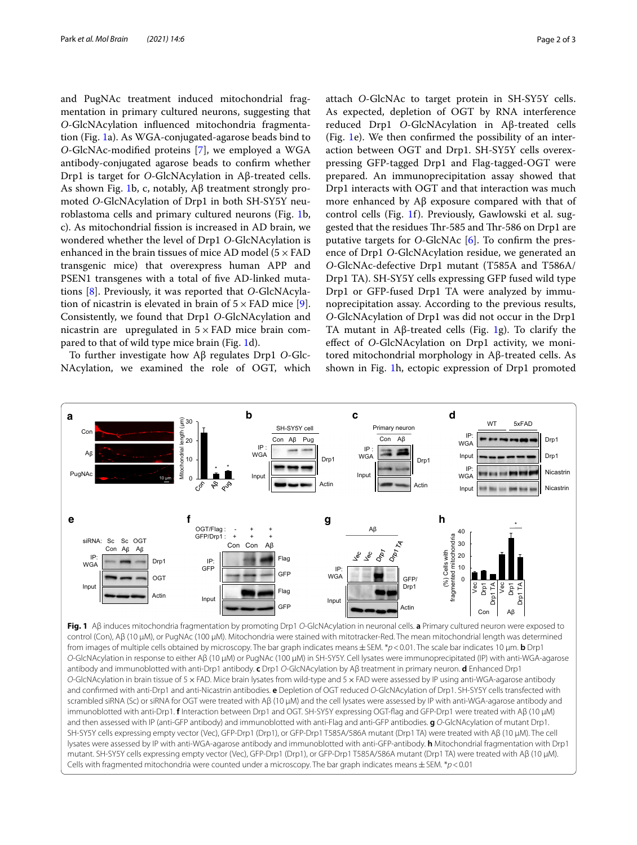and PugNAc treatment induced mitochondrial fragmentation in primary cultured neurons, suggesting that *O*-GlcNAcylation infuenced mitochondria fragmentation (Fig. [1a](#page-1-0)). As WGA-conjugated-agarose beads bind to *O-*GlcNAc-modifed proteins [\[7](#page-2-6)], we employed a WGA antibody-conjugated agarose beads to confrm whether Drp1 is target for *O*-GlcNAcylation in Aβ-treated cells. As shown Fig. [1b](#page-1-0), c, notably, Aβ treatment strongly promoted *O*-GlcNAcylation of Drp1 in both SH-SY5Y neuroblastoma cells and primary cultured neurons (Fig. [1](#page-1-0)b, c). As mitochondrial fssion is increased in AD brain, we wondered whether the level of Drp1 *O*-GlcNAcylation is enhanced in the brain tissues of mice AD model ( $5 \times$  FAD transgenic mice) that overexpress human APP and PSEN1 transgenes with a total of fve AD-linked mutations [[8](#page-2-7)]. Previously, it was reported that *O*-GlcNAcylation of nicastrin is elevated in brain of  $5 \times$  FAD mice [\[9](#page-2-8)]. Consistently, we found that Drp1 *O*-GlcNAcylation and nicastrin are upregulated in  $5 \times FAD$  mice brain compared to that of wild type mice brain (Fig. [1d](#page-1-0)).

To further investigate how Aβ regulates Drp1 *O*-Glc-NAcylation, we examined the role of OGT, which attach *O*-GlcNAc to target protein in SH-SY5Y cells. As expected, depletion of OGT by RNA interference reduced Drp1 *O*-GlcNAcylation in Aβ-treated cells (Fig. [1](#page-1-0)e). We then confrmed the possibility of an interaction between OGT and Drp1. SH-SY5Y cells overexpressing GFP-tagged Drp1 and Flag-tagged-OGT were prepared. An immunoprecipitation assay showed that Drp1 interacts with OGT and that interaction was much more enhanced by Aβ exposure compared with that of control cells (Fig. [1](#page-1-0)f). Previously, Gawlowski et al. suggested that the residues Thr-585 and Thr-586 on Drp1 are putative targets for *O*-GlcNAc [[6\]](#page-2-5). To confrm the presence of Drp1 *O*-GlcNAcylation residue, we generated an *O*-GlcNAc-defective Drp1 mutant (T585A and T586A/ Drp1 TA). SH-SY5Y cells expressing GFP fused wild type Drp1 or GFP-fused Drp1 TA were analyzed by immunoprecipitation assay. According to the previous results, *O*-GlcNAcylation of Drp1 was did not occur in the Drp1 TA mutant in Aβ-treated cells (Fig. [1](#page-1-0)g). To clarify the efect of *O*-GlcNAcylation on Drp1 activity, we monitored mitochondrial morphology in Aβ-treated cells. As

shown in Fig. [1](#page-1-0)h, ectopic expression of Drp1 promoted



<span id="page-1-0"></span>control (Con), Aβ (10 µM), or PugNAc (100 µM). Mitochondria were stained with mitotracker-Red. The mean mitochondrial length was determined from images of multiple cells obtained by microscopy. The bar graph indicates means±SEM. \**p*<0.01. The scale bar indicates 10 µm. **b** Drp1 *O*-GlcNAcylation in response to either Aβ (10 µM) or PugNAc (100 µM) in SH-SY5Y. Cell lysates were immunoprecipitated (IP) with anti-WGA-agarose antibody and immunoblotted with anti-Drp1 antibody. **c** Drp1 *O*-GlcNAcylation by Aβ treatment in primary neuron. **d** Enhanced Drp1 *O*-GlcNAcylation in brain tissue of 5×FAD. Mice brain lysates from wild-type and 5×FAD were assessed by IP using anti-WGA-agarose antibody and confrmed with anti-Drp1 and anti-Nicastrin antibodies. **e** Depletion of OGT reduced *O*-GlcNAcylation of Drp1. SH-SY5Y cells transfected with scrambled siRNA (Sc) or siRNA for OGT were treated with Aβ (10 µM) and the cell lysates were assessed by IP with anti-WGA-agarose antibody and immunoblotted with anti-Drp1. **f** Interaction between Drp1 and OGT. SH-SY5Y expressing OGT-fag and GFP-Drp1 were treated with Aβ (10 µM) and then assessed with IP (anti-GFP antibody) and immunoblotted with anti-Flag and anti-GFP antibodies. **g** *O*-GlcNAcylation of mutant Drp1. SH-SY5Y cells expressing empty vector (Vec), GFP-Drp1 (Drp1), or GFP-Drp1 T585A/586A mutant (Drp1 TA) were treated with Aβ (10 µM). The cell lysates were assessed by IP with anti-WGA-agarose antibody and immunoblotted with anti-GFP-antibody. **h** Mitochondrial fragmentation with Drp1 mutant. SH-SY5Y cells expressing empty vector (Vec), GFP-Drp1 (Drp1), or GFP-Drp1 T585A/586A mutant (Drp1 TA) were treated with Aβ (10 µM). Cells with fragmented mitochondria were counted under a microscopy. The bar graph indicates means±SEM. \**p*<0.01